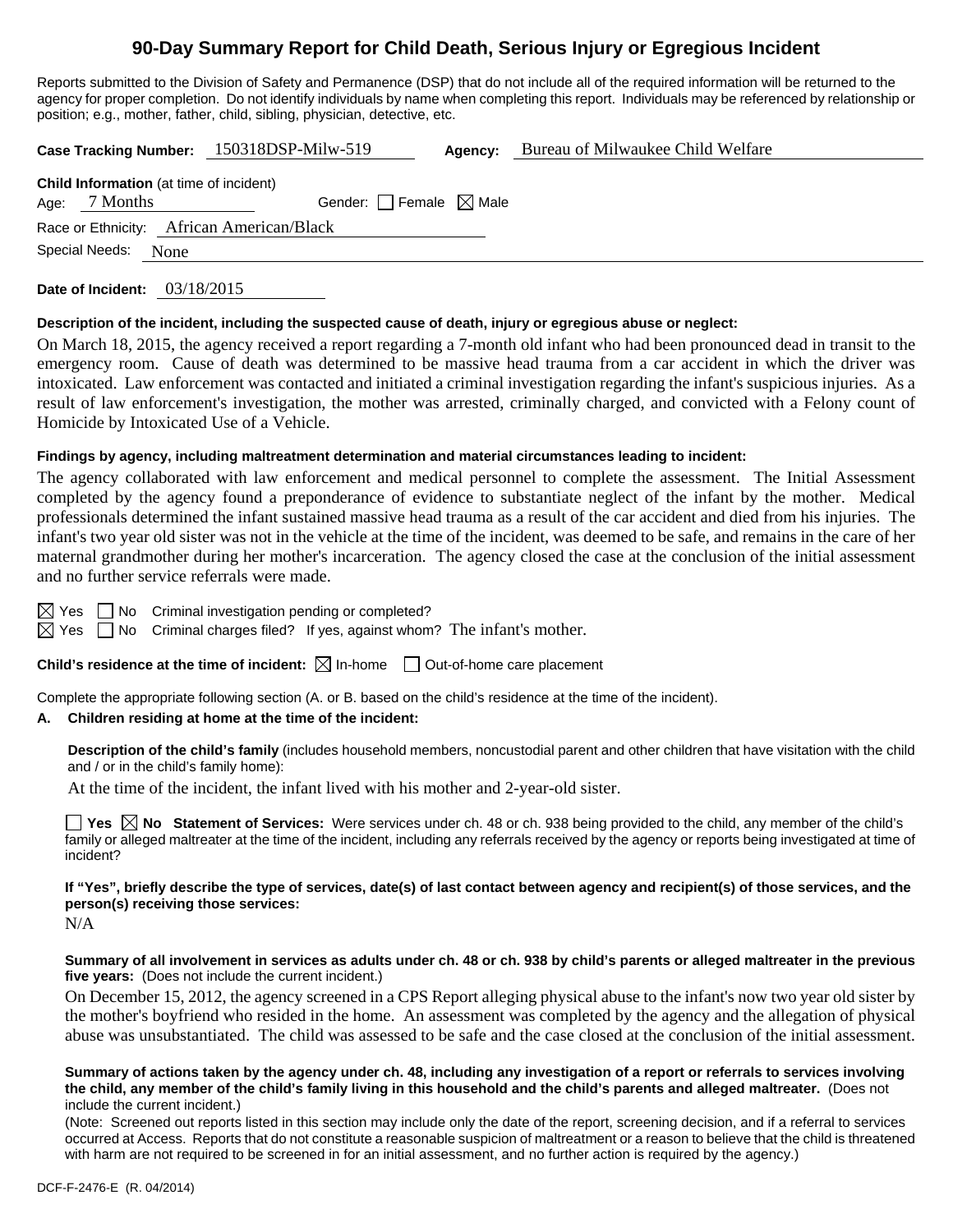# **90-Day Summary Report for Child Death, Serious Injury or Egregious Incident**

Reports submitted to the Division of Safety and Permanence (DSP) that do not include all of the required information will be returned to the agency for proper completion. Do not identify individuals by name when completing this report. Individuals may be referenced by relationship or position; e.g., mother, father, child, sibling, physician, detective, etc.

**Case Tracking Number:** 150318DSP-Milw-519 **Agency:** Bureau of Milwaukee Child Welfare

| <b>Child Information</b> (at time of incident) |                     |                                 |  |  |  |  |
|------------------------------------------------|---------------------|---------------------------------|--|--|--|--|
|                                                | Age: $7$ Months     | Gender: Female $\boxtimes$ Male |  |  |  |  |
| Race or Ethnicity: African American/Black      |                     |                                 |  |  |  |  |
|                                                | Special Needs: None |                                 |  |  |  |  |
|                                                |                     |                                 |  |  |  |  |

**Date of Incident:** 03/18/2015

## **Description of the incident, including the suspected cause of death, injury or egregious abuse or neglect:**

On March 18, 2015, the agency received a report regarding a 7-month old infant who had been pronounced dead in transit to the emergency room. Cause of death was determined to be massive head trauma from a car accident in which the driver was intoxicated. Law enforcement was contacted and initiated a criminal investigation regarding the infant's suspicious injuries. As a result of law enforcement's investigation, the mother was arrested, criminally charged, and convicted with a Felony count of Homicide by Intoxicated Use of a Vehicle.

## **Findings by agency, including maltreatment determination and material circumstances leading to incident:**

The agency collaborated with law enforcement and medical personnel to complete the assessment. The Initial Assessment completed by the agency found a preponderance of evidence to substantiate neglect of the infant by the mother. Medical professionals determined the infant sustained massive head trauma as a result of the car accident and died from his injuries. The infant's two year old sister was not in the vehicle at the time of the incident, was deemed to be safe, and remains in the care of her maternal grandmother during her mother's incarceration. The agency closed the case at the conclusion of the initial assessment and no further service referrals were made.

 $\boxtimes$  Yes  $\Box$  No Criminal investigation pending or completed?

 $\boxtimes$  Yes  $\Box$  No Criminal charges filed? If yes, against whom? The infant's mother.

## **Child's residence at the time of incident:**  $\boxtimes$  In-home  $\Box$  Out-of-home care placement

Complete the appropriate following section (A. or B. based on the child's residence at the time of the incident).

## **A. Children residing at home at the time of the incident:**

**Description of the child's family** (includes household members, noncustodial parent and other children that have visitation with the child and / or in the child's family home):

At the time of the incident, the infant lived with his mother and 2-year-old sister.

■ Yes △ No Statement of Services: Were services under ch. 48 or ch. 938 being provided to the child, any member of the child's family or alleged maltreater at the time of the incident, including any referrals received by the agency or reports being investigated at time of incident?

# **If "Yes", briefly describe the type of services, date(s) of last contact between agency and recipient(s) of those services, and the person(s) receiving those services:**

N/A

#### **Summary of all involvement in services as adults under ch. 48 or ch. 938 by child's parents or alleged maltreater in the previous five years:** (Does not include the current incident.)

On December 15, 2012, the agency screened in a CPS Report alleging physical abuse to the infant's now two year old sister by the mother's boyfriend who resided in the home. An assessment was completed by the agency and the allegation of physical abuse was unsubstantiated. The child was assessed to be safe and the case closed at the conclusion of the initial assessment.

**Summary of actions taken by the agency under ch. 48, including any investigation of a report or referrals to services involving the child, any member of the child's family living in this household and the child's parents and alleged maltreater.** (Does not include the current incident.)

(Note: Screened out reports listed in this section may include only the date of the report, screening decision, and if a referral to services occurred at Access. Reports that do not constitute a reasonable suspicion of maltreatment or a reason to believe that the child is threatened with harm are not required to be screened in for an initial assessment, and no further action is required by the agency.)